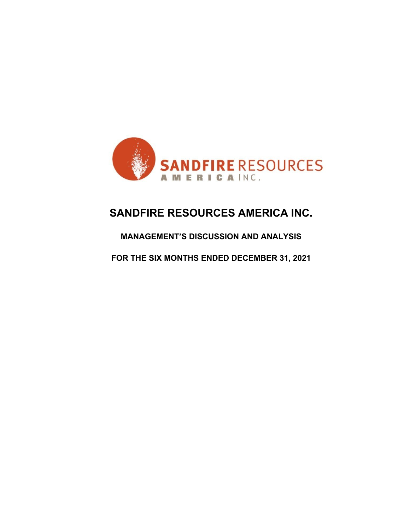

# **SANDFIRE RESOURCES AMERICA INC.**

# **MANAGEMENT'S DISCUSSION AND ANALYSIS**

**FOR THE SIX MONTHS ENDED DECEMBER 31, 2021**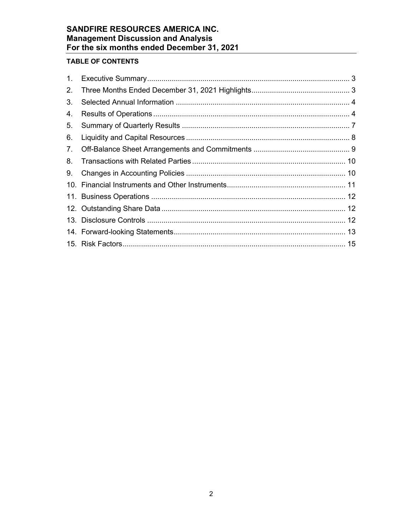# **TABLE OF CONTENTS**

| 1. |  |
|----|--|
| 2. |  |
| 3. |  |
| 4. |  |
| 5. |  |
| 6. |  |
| 7. |  |
| 8. |  |
| 9. |  |
|    |  |
|    |  |
|    |  |
|    |  |
|    |  |
|    |  |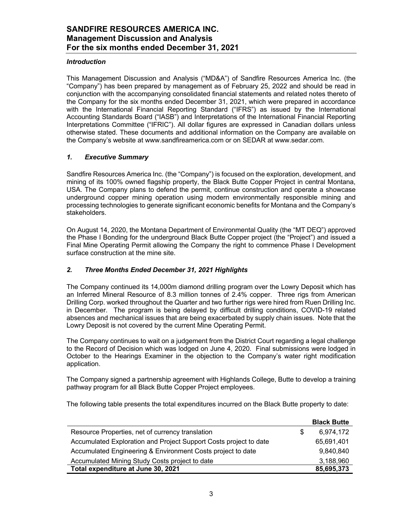### *Introduction*

This Management Discussion and Analysis ("MD&A") of Sandfire Resources America Inc. (the "Company") has been prepared by management as of February 25, 2022 and should be read in conjunction with the accompanying consolidated financial statements and related notes thereto of the Company for the six months ended December 31, 2021, which were prepared in accordance with the International Financial Reporting Standard ("IFRS") as issued by the International Accounting Standards Board ("IASB") and Interpretations of the International Financial Reporting Interpretations Committee ("IFRIC"). All dollar figures are expressed in Canadian dollars unless otherwise stated. These documents and additional information on the Company are available on the Company's website at www.sandfireamerica.com or on SEDAR at www.sedar.com.

### *1. Executive Summary*

Sandfire Resources America Inc. (the "Company") is focused on the exploration, development, and mining of its 100% owned flagship property, the Black Butte Copper Project in central Montana, USA. The Company plans to defend the permit, continue construction and operate a showcase underground copper mining operation using modern environmentally responsible mining and processing technologies to generate significant economic benefits for Montana and the Company's stakeholders.

On August 14, 2020, the Montana Department of Environmental Quality (the "MT DEQ") approved the Phase I Bonding for the underground Black Butte Copper project (the "Project") and issued a Final Mine Operating Permit allowing the Company the right to commence Phase I Development surface construction at the mine site.

# *2. Three Months Ended December 31, 2021 Highlights*

The Company continued its 14,000m diamond drilling program over the Lowry Deposit which has an Inferred Mineral Resource of 8.3 million tonnes of 2.4% copper. Three rigs from American Drilling Corp. worked throughout the Quarter and two further rigs were hired from Ruen Drilling Inc. in December. The program is being delayed by difficult drilling conditions, COVID-19 related absences and mechanical issues that are being exacerbated by supply chain issues. Note that the Lowry Deposit is not covered by the current Mine Operating Permit.

The Company continues to wait on a judgement from the District Court regarding a legal challenge to the Record of Decision which was lodged on June 4, 2020. Final submissions were lodged in October to the Hearings Examiner in the objection to the Company's water right modification application.

The Company signed a partnership agreement with Highlands College, Butte to develop a training pathway program for all Black Butte Copper Project employees.

The following table presents the total expenditures incurred on the Black Butte property to date:

|                                                                   | <b>Black Butte</b> |
|-------------------------------------------------------------------|--------------------|
| Resource Properties, net of currency translation                  | 6.974.172          |
| Accumulated Exploration and Project Support Costs project to date | 65,691,401         |
| Accumulated Engineering & Environment Costs project to date       | 9.840.840          |
| Accumulated Mining Study Costs project to date                    | 3,188,960          |
| Total expenditure at June 30, 2021                                | 85,695,373         |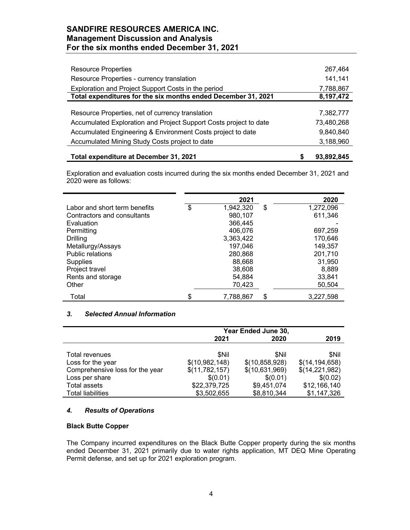| <b>Resource Properties</b>                                        | 267,464    |
|-------------------------------------------------------------------|------------|
| Resource Properties - currency translation                        | 141,141    |
| Exploration and Project Support Costs in the period               | 7,788,867  |
| Total expenditures for the six months ended December 31, 2021     | 8,197,472  |
|                                                                   |            |
| Resource Properties, net of currency translation                  | 7,382,777  |
| Accumulated Exploration and Project Support Costs project to date | 73,480,268 |
| Accumulated Engineering & Environment Costs project to date       | 9,840,840  |
| Accumulated Mining Study Costs project to date                    | 3,188,960  |
|                                                                   |            |

**Total expenditure at December 31, 2021 \$ 93,892,845**

Exploration and evaluation costs incurred during the six months ended December 31, 2021 and 2020 were as follows:

|                               | 2021            | 2020            |
|-------------------------------|-----------------|-----------------|
| Labor and short term benefits | \$<br>1,942,320 | \$<br>1,272,096 |
| Contractors and consultants   | 980,107         | 611,346         |
| Evaluation                    | 366,445         |                 |
| Permitting                    | 406,076         | 697,259         |
| Drilling                      | 3,363,422       | 170,646         |
| Metallurgy/Assays             | 197,046         | 149,357         |
| <b>Public relations</b>       | 280,868         | 201,710         |
| <b>Supplies</b>               | 88,668          | 31,950          |
| Project travel                | 38,608          | 8,889           |
| Rents and storage             | 54,884          | 33,841          |
| Other                         | 70,423          | 50,504          |
| Total                         | \$<br>7,788,867 | \$<br>3,227,598 |

# *3. Selected Annual Information*

|                                 | Year Ended June 30, |                |                  |  |
|---------------------------------|---------------------|----------------|------------------|--|
|                                 | 2021                | 2019           |                  |  |
|                                 |                     |                |                  |  |
| Total revenues                  | <b>SNil</b>         | <b>SNil</b>    | <b>SNil</b>      |  |
| Loss for the year               | \$(10,982,148)      | \$(10,858,928) | \$(14, 194, 658) |  |
| Comprehensive loss for the year | \$(11,782,157)      | \$(10,631,969) | \$(14,221,982)   |  |
| Loss per share                  | \$(0.01)            | \$(0.01)       | \$(0.02)         |  |
| Total assets                    | \$22,379,725        | \$9,451,074    | \$12,166,140     |  |
| <b>Total liabilities</b>        | \$3,502,655         | \$8,810,344    | \$1,147,326      |  |

# *4. Results of Operations*

### **Black Butte Copper**

The Company incurred expenditures on the Black Butte Copper property during the six months ended December 31, 2021 primarily due to water rights application, MT DEQ Mine Operating Permit defense, and set up for 2021 exploration program.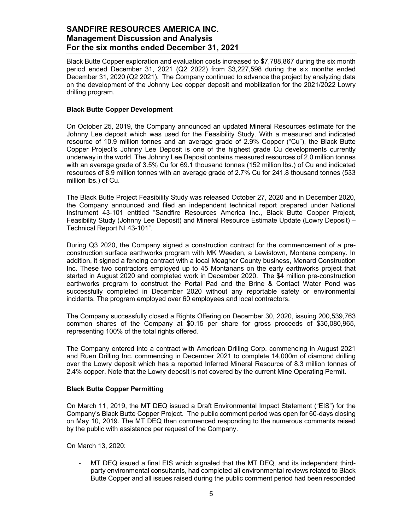Black Butte Copper exploration and evaluation costs increased to \$7,788,867 during the six month period ended December 31, 2021 (Q2 2022) from \$3,227,598 during the six months ended December 31, 2020 (Q2 2021). The Company continued to advance the project by analyzing data on the development of the Johnny Lee copper deposit and mobilization for the 2021/2022 Lowry drilling program.

### **Black Butte Copper Development**

On October 25, 2019, the Company announced an updated Mineral Resources estimate for the Johnny Lee deposit which was used for the Feasibility Study. With a measured and indicated resource of 10.9 million tonnes and an average grade of 2.9% Copper ("Cu"), the Black Butte Copper Project's Johnny Lee Deposit is one of the highest grade Cu developments currently underway in the world. The Johnny Lee Deposit contains measured resources of 2.0 million tonnes with an average grade of 3.5% Cu for 69.1 thousand tonnes (152 million lbs.) of Cu and indicated resources of 8.9 million tonnes with an average grade of 2.7% Cu for 241.8 thousand tonnes (533 million lbs.) of Cu.

The Black Butte Project Feasibility Study was released October 27, 2020 and in December 2020, the Company announced and filed an independent technical report prepared under National Instrument 43-101 entitled "Sandfire Resources America Inc., Black Butte Copper Project, Feasibility Study (Johnny Lee Deposit) and Mineral Resource Estimate Update (Lowry Deposit) – Technical Report NI 43-101".

During Q3 2020, the Company signed a construction contract for the commencement of a preconstruction surface earthworks program with MK Weeden, a Lewistown, Montana company. In addition, it signed a fencing contract with a local Meagher County business, Menard Construction Inc. These two contractors employed up to 45 Montanans on the early earthworks project that started in August 2020 and completed work in December 2020. The \$4 million pre-construction earthworks program to construct the Portal Pad and the Brine & Contact Water Pond was successfully completed in December 2020 without any reportable safety or environmental incidents. The program employed over 60 employees and local contractors.

The Company successfully closed a Rights Offering on December 30, 2020, issuing 200,539,763 common shares of the Company at \$0.15 per share for gross proceeds of \$30,080,965, representing 100% of the total rights offered.

The Company entered into a contract with American Drilling Corp. commencing in August 2021 and Ruen Drilling Inc. commencing in December 2021 to complete 14,000m of diamond drilling over the Lowry deposit which has a reported Inferred Mineral Resource of 8.3 million tonnes of 2.4% copper. Note that the Lowry deposit is not covered by the current Mine Operating Permit.

### **Black Butte Copper Permitting**

On March 11, 2019, the MT DEQ issued a Draft Environmental Impact Statement ("EIS") for the Company's Black Butte Copper Project. The public comment period was open for 60-days closing on May 10, 2019. The MT DEQ then commenced responding to the numerous comments raised by the public with assistance per request of the Company.

On March 13, 2020:

MT DEQ issued a final EIS which signaled that the MT DEQ, and its independent thirdparty environmental consultants, had completed all environmental reviews related to Black Butte Copper and all issues raised during the public comment period had been responded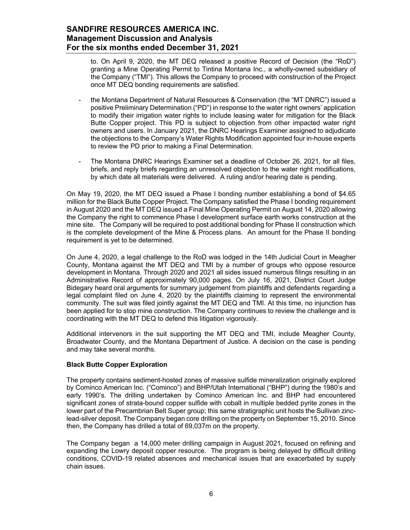to. On April 9, 2020, the MT DEQ released a positive Record of Decision (the "RoD") granting a Mine Operating Permit to Tintina Montana Inc., a wholly-owned subsidiary of the Company ("TMI"). This allows the Company to proceed with construction of the Project once MT DEQ bonding requirements are satisfied.

- the Montana Department of Natural Resources & Conservation (the "MT DNRC") issued a positive Preliminary Determination ("PD") in response to the water right owners' application to modify their irrigation water rights to include leasing water for mitigation for the Black Butte Copper project. This PD is subject to objection from other impacted water right owners and users. In January 2021, the DNRC Hearings Examiner assigned to adjudicate the objections to the Company's Water Rights Modification appointed four in-house experts to review the PD prior to making a Final Determination.
- The Montana DNRC Hearings Examiner set a deadline of October 26, 2021, for all files, briefs, and reply briefs regarding an unresolved objection to the water right modifications, by which date all materials were delivered. A ruling and/or hearing date is pending.

On May 19, 2020, the MT DEQ issued a Phase I bonding number establishing a bond of \$4.65 million for the Black Butte Copper Project. The Company satisfied the Phase I bonding requirement in August 2020 and the MT DEQ issued a Final Mine Operating Permit on August 14, 2020 allowing the Company the right to commence Phase I development surface earth works construction at the mine site. The Company will be required to post additional bonding for Phase II construction which is the complete development of the Mine & Process plans. An amount for the Phase II bonding requirement is yet to be determined.

On June 4, 2020, a legal challenge to the RoD was lodged in the 14th Judicial Court in Meagher County, Montana against the MT DEQ and TMI by a number of groups who oppose resource development in Montana. Through 2020 and 2021 all sides issued numerous filings resulting in an Administrative Record of approximately 90,000 pages. On July 16, 2021, District Court Judge Bidegary heard oral arguments for summary judgement from plaintiffs and defendants regarding a legal complaint filed on June 4, 2020 by the plaintiffs claiming to represent the environmental community. The suit was filed jointly against the MT DEQ and TMI. At this time, no injunction has been applied for to stop mine construction. The Company continues to review the challenge and is coordinating with the MT DEQ to defend this litigation vigorously.

Additional intervenors in the suit supporting the MT DEQ and TMI, include Meagher County, Broadwater County, and the Montana Department of Justice. A decision on the case is pending and may take several months.

### **Black Butte Copper Exploration**

The property contains sediment-hosted zones of massive sulfide mineralization originally explored by Cominco American Inc. ("Cominco") and BHP/Utah International ("BHP") during the 1980's and early 1990's. The drilling undertaken by Cominco American Inc. and BHP had encountered significant zones of strata-bound copper sulfide with cobalt in multiple bedded pyrite zones in the lower part of the Precambrian Belt Super group; this same stratigraphic unit hosts the Sullivan zinclead-silver deposit. The Company began core drilling on the property on September 15, 2010. Since then, the Company has drilled a total of 69,037m on the property.

The Company began a 14,000 meter drilling campaign in August 2021, focused on refining and expanding the Lowry deposit copper resource. The program is being delayed by difficult drilling conditions, COVID-19 related absences and mechanical issues that are exacerbated by supply chain issues.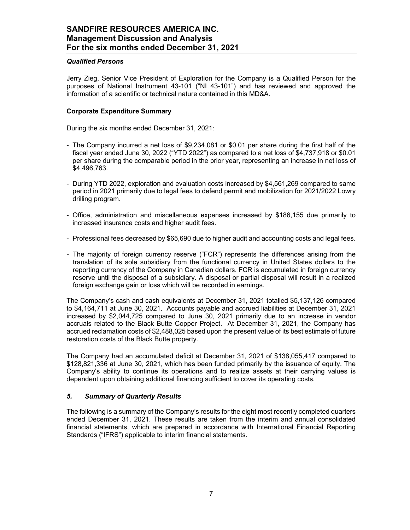### *Qualified Persons*

Jerry Zieg, Senior Vice President of Exploration for the Company is a Qualified Person for the purposes of National Instrument 43-101 ("NI 43-101") and has reviewed and approved the information of a scientific or technical nature contained in this MD&A.

### **Corporate Expenditure Summary**

During the six months ended December 31, 2021:

- The Company incurred a net loss of \$9,234,081 or \$0.01 per share during the first half of the fiscal year ended June 30, 2022 ("YTD 2022") as compared to a net loss of \$4,737,918 or \$0.01 per share during the comparable period in the prior year, representing an increase in net loss of \$4,496,763.
- During YTD 2022, exploration and evaluation costs increased by \$4,561,269 compared to same period in 2021 primarily due to legal fees to defend permit and mobilization for 2021/2022 Lowry drilling program.
- Office, administration and miscellaneous expenses increased by \$186,155 due primarily to increased insurance costs and higher audit fees.
- Professional fees decreased by \$65,690 due to higher audit and accounting costs and legal fees.
- The majority of foreign currency reserve ("FCR") represents the differences arising from the translation of its sole subsidiary from the functional currency in United States dollars to the reporting currency of the Company in Canadian dollars. FCR is accumulated in foreign currency reserve until the disposal of a subsidiary. A disposal or partial disposal will result in a realized foreign exchange gain or loss which will be recorded in earnings.

The Company's cash and cash equivalents at December 31, 2021 totalled \$5,137,126 compared to \$4,164,711 at June 30, 2021. Accounts payable and accrued liabilities at December 31, 2021 increased by \$2,044,725 compared to June 30, 2021 primarily due to an increase in vendor accruals related to the Black Butte Copper Project. At December 31, 2021, the Company has accrued reclamation costs of \$2,488,025 based upon the present value of its best estimate of future restoration costs of the Black Butte property.

The Company had an accumulated deficit at December 31, 2021 of \$138,055,417 compared to \$128,821,336 at June 30, 2021, which has been funded primarily by the issuance of equity. The Company's ability to continue its operations and to realize assets at their carrying values is dependent upon obtaining additional financing sufficient to cover its operating costs.

# *5. Summary of Quarterly Results*

The following is a summary of the Company's results for the eight most recently completed quarters ended December 31, 2021. These results are taken from the interim and annual consolidated financial statements, which are prepared in accordance with International Financial Reporting Standards ("IFRS") applicable to interim financial statements.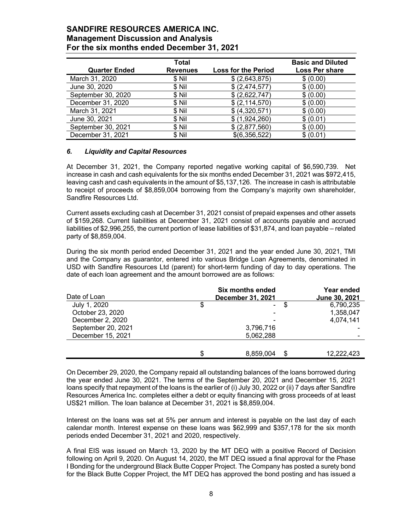| <b>Quarter Ended</b> | Total<br><b>Revenues</b> | <b>Loss for the Period</b> | <b>Basic and Diluted</b><br><b>Loss Per share</b> |
|----------------------|--------------------------|----------------------------|---------------------------------------------------|
| March 31, 2020       | \$ Nil                   | \$ (2,643,875)             | \$ (0.00)                                         |
| June 30, 2020        | \$ Nil                   | \$ (2,474,577)             | \$ (0.00)                                         |
| September 30, 2020   | \$ Nil                   | \$ (2,622,747)             | \$ (0.00)                                         |
| December 31, 2020    | \$ Nil                   | \$ (2, 114, 570)           | \$ (0.00)                                         |
| March 31, 2021       | \$ Nil                   | \$ (4,320,571)             | \$ (0.00)                                         |
| June 30, 2021        | \$Nil                    | \$(1,924,260)              | \$ (0.01)                                         |
| September 30, 2021   | \$ Nil                   | \$ (2,877,560)             | \$ (0.00)                                         |
| December 31, 2021    | \$Nil                    | \$(6,356,522)              | \$ (0.01)                                         |

### *6. Liquidity and Capital Resources*

At December 31, 2021, the Company reported negative working capital of \$6,590,739. Net increase in cash and cash equivalents for the six months ended December 31, 2021 was \$972,415, leaving cash and cash equivalents in the amount of \$5,137,126. The increase in cash is attributable to receipt of proceeds of \$8,859,004 borrowing from the Company's majority own shareholder, Sandfire Resources Ltd.

Current assets excluding cash at December 31, 2021 consist of prepaid expenses and other assets of \$159,268. Current liabilities at December 31, 2021 consist of accounts payable and accrued liabilities of \$2,996,255, the current portion of lease liabilities of \$31,874, and loan payable – related party of \$8,859,004.

During the six month period ended December 31, 2021 and the year ended June 30, 2021, TMI and the Company as guarantor, entered into various Bridge Loan Agreements, denominated in USD with Sandfire Resources Ltd (parent) for short-term funding of day to day operations. The date of each loan agreement and the amount borrowed are as follows:

|                    | <b>Six months ended</b><br>December 31, 2021 |           |  | Year ended<br>June 30, 2021 |  |
|--------------------|----------------------------------------------|-----------|--|-----------------------------|--|
| Date of Loan       |                                              |           |  |                             |  |
| July 1, 2020       | \$                                           | ۰         |  | 6,790,235                   |  |
| October 23, 2020   |                                              |           |  | 1,358,047                   |  |
| December 2, 2020   |                                              |           |  | 4,074,141                   |  |
| September 20, 2021 |                                              | 3,796,716 |  |                             |  |
| December 15, 2021  |                                              | 5,062,288 |  |                             |  |
|                    |                                              |           |  |                             |  |
|                    | S                                            | 8,859,004 |  | 12,222,423                  |  |

On December 29, 2020, the Company repaid all outstanding balances of the loans borrowed during the year ended June 30, 2021. The terms of the September 20, 2021 and December 15, 2021 loans specify that repayment of the loans is the earlier of (i) July 30, 2022 or (ii) 7 days after Sandfire Resources America Inc. completes either a debt or equity financing with gross proceeds of at least US\$21 million. The loan balance at December 31, 2021 is \$8,859,004.

Interest on the loans was set at 5% per annum and interest is payable on the last day of each calendar month. Interest expense on these loans was \$62,999 and \$357,178 for the six month periods ended December 31, 2021 and 2020, respectively.

A final EIS was issued on March 13, 2020 by the MT DEQ with a positive Record of Decision following on April 9, 2020. On August 14, 2020, the MT DEQ issued a final approval for the Phase I Bonding for the underground Black Butte Copper Project. The Company has posted a surety bond for the Black Butte Copper Project, the MT DEQ has approved the bond posting and has issued a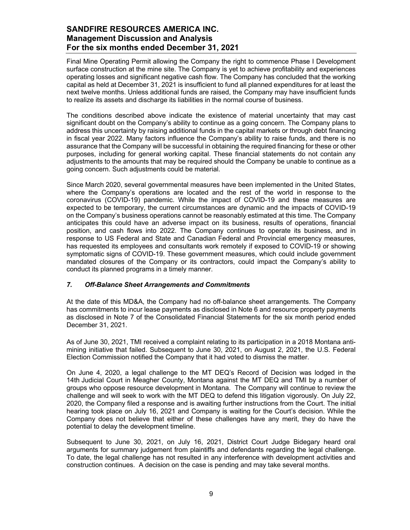Final Mine Operating Permit allowing the Company the right to commence Phase I Development surface construction at the mine site. The Company is yet to achieve profitability and experiences operating losses and significant negative cash flow. The Company has concluded that the working capital as held at December 31, 2021 is insufficient to fund all planned expenditures for at least the next twelve months. Unless additional funds are raised, the Company may have insufficient funds to realize its assets and discharge its liabilities in the normal course of business.

The conditions described above indicate the existence of material uncertainty that may cast significant doubt on the Company's ability to continue as a going concern. The Company plans to address this uncertainty by raising additional funds in the capital markets or through debt financing in fiscal year 2022. Many factors influence the Company's ability to raise funds, and there is no assurance that the Company will be successful in obtaining the required financing for these or other purposes, including for general working capital. These financial statements do not contain any adjustments to the amounts that may be required should the Company be unable to continue as a going concern. Such adjustments could be material.

Since March 2020, several governmental measures have been implemented in the United States, where the Company's operations are located and the rest of the world in response to the coronavirus (COVID-19) pandemic. While the impact of COVID-19 and these measures are expected to be temporary, the current circumstances are dynamic and the impacts of COVID-19 on the Company's business operations cannot be reasonably estimated at this time. The Company anticipates this could have an adverse impact on its business, results of operations, financial position, and cash flows into 2022. The Company continues to operate its business, and in response to US Federal and State and Canadian Federal and Provincial emergency measures, has requested its employees and consultants work remotely if exposed to COVID-19 or showing symptomatic signs of COVID-19. These government measures, which could include government mandated closures of the Company or its contractors, could impact the Company's ability to conduct its planned programs in a timely manner.

# *7. Off-Balance Sheet Arrangements and Commitments*

At the date of this MD&A, the Company had no off-balance sheet arrangements. The Company has commitments to incur lease payments as disclosed in Note 6 and resource property payments as disclosed in Note 7 of the Consolidated Financial Statements for the six month period ended December 31, 2021.

As of June 30, 2021, TMI received a complaint relating to its participation in a 2018 Montana antimining initiative that failed. Subsequent to June 30, 2021, on August 2, 2021, the U.S. Federal Election Commission notified the Company that it had voted to dismiss the matter.

On June 4, 2020, a legal challenge to the MT DEQ's Record of Decision was lodged in the 14th Judicial Court in Meagher County, Montana against the MT DEQ and TMI by a number of groups who oppose resource development in Montana. The Company will continue to review the challenge and will seek to work with the MT DEQ to defend this litigation vigorously. On July 22, 2020, the Company filed a response and is awaiting further instructions from the Court. The initial hearing took place on July 16, 2021 and Company is waiting for the Court's decision. While the Company does not believe that either of these challenges have any merit, they do have the potential to delay the development timeline.

Subsequent to June 30, 2021, on July 16, 2021, District Court Judge Bidegary heard oral arguments for summary judgement from plaintiffs and defendants regarding the legal challenge. To date, the legal challenge has not resulted in any interference with development activities and construction continues. A decision on the case is pending and may take several months.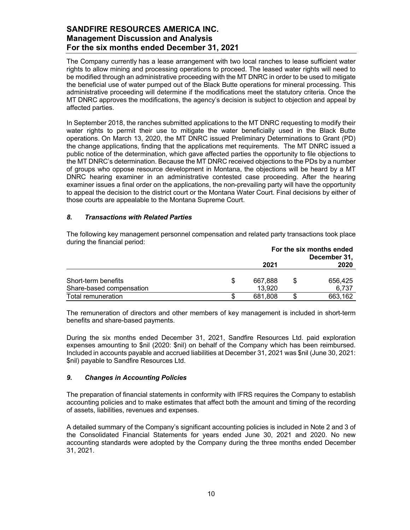The Company currently has a lease arrangement with two local ranches to lease sufficient water rights to allow mining and processing operations to proceed. The leased water rights will need to be modified through an administrative proceeding with the MT DNRC in order to be used to mitigate the beneficial use of water pumped out of the Black Butte operations for mineral processing. This administrative proceeding will determine if the modifications meet the statutory criteria. Once the MT DNRC approves the modifications, the agency's decision is subject to objection and appeal by affected parties.

In September 2018, the ranches submitted applications to the MT DNRC requesting to modify their water rights to permit their use to mitigate the water beneficially used in the Black Butte operations. On March 13, 2020, the MT DNRC issued Preliminary Determinations to Grant (PD) the change applications, finding that the applications met requirements. The MT DNRC issued a public notice of the determination, which gave affected parties the opportunity to file objections to the MT DNRC's determination. Because the MT DNRC received objections to the PDs by a number of groups who oppose resource development in Montana, the objections will be heard by a MT DNRC hearing examiner in an administrative contested case proceeding. After the hearing examiner issues a final order on the applications, the non-prevailing party will have the opportunity to appeal the decision to the district court or the Montana Water Court. Final decisions by either of those courts are appealable to the Montana Supreme Court.

### *8. Transactions with Related Parties*

The following key management personnel compensation and related party transactions took place during the financial period:

|                          | For the six months ended<br>December 31, |         |  |         |
|--------------------------|------------------------------------------|---------|--|---------|
|                          |                                          | 2021    |  | 2020    |
| Short-term benefits      |                                          | 667.888 |  | 656.425 |
| Share-based compensation |                                          | 13,920  |  | 6.737   |
| Total remuneration       |                                          | 681.808 |  | 663.162 |

The remuneration of directors and other members of key management is included in short-term benefits and share-based payments.

During the six months ended December 31, 2021, Sandfire Resources Ltd. paid exploration expenses amounting to \$nil (2020: \$nil) on behalf of the Company which has been reimbursed. Included in accounts payable and accrued liabilities at December 31, 2021 was \$nil (June 30, 2021: \$nil) payable to Sandfire Resources Ltd.

### *9. Changes in Accounting Policies*

The preparation of financial statements in conformity with IFRS requires the Company to establish accounting policies and to make estimates that affect both the amount and timing of the recording of assets, liabilities, revenues and expenses.

A detailed summary of the Company's significant accounting policies is included in Note 2 and 3 of the Consolidated Financial Statements for years ended June 30, 2021 and 2020. No new accounting standards were adopted by the Company during the three months ended December 31, 2021.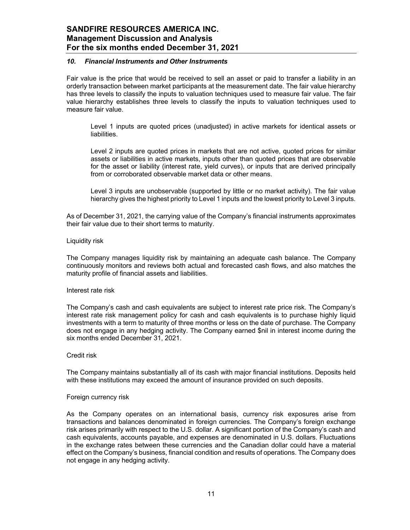### *10. Financial Instruments and Other Instruments*

Fair value is the price that would be received to sell an asset or paid to transfer a liability in an orderly transaction between market participants at the measurement date. The fair value hierarchy has three levels to classify the inputs to valuation techniques used to measure fair value. The fair value hierarchy establishes three levels to classify the inputs to valuation techniques used to measure fair value.

Level 1 inputs are quoted prices (unadjusted) in active markets for identical assets or liabilities.

Level 2 inputs are quoted prices in markets that are not active, quoted prices for similar assets or liabilities in active markets, inputs other than quoted prices that are observable for the asset or liability (interest rate, yield curves), or inputs that are derived principally from or corroborated observable market data or other means.

Level 3 inputs are unobservable (supported by little or no market activity). The fair value hierarchy gives the highest priority to Level 1 inputs and the lowest priority to Level 3 inputs.

As of December 31, 2021, the carrying value of the Company's financial instruments approximates their fair value due to their short terms to maturity.

#### Liquidity risk

The Company manages liquidity risk by maintaining an adequate cash balance. The Company continuously monitors and reviews both actual and forecasted cash flows, and also matches the maturity profile of financial assets and liabilities.

#### Interest rate risk

The Company's cash and cash equivalents are subject to interest rate price risk. The Company's interest rate risk management policy for cash and cash equivalents is to purchase highly liquid investments with a term to maturity of three months or less on the date of purchase. The Company does not engage in any hedging activity. The Company earned \$nil in interest income during the six months ended December 31, 2021.

#### Credit risk

The Company maintains substantially all of its cash with major financial institutions. Deposits held with these institutions may exceed the amount of insurance provided on such deposits.

#### Foreign currency risk

As the Company operates on an international basis, currency risk exposures arise from transactions and balances denominated in foreign currencies. The Company's foreign exchange risk arises primarily with respect to the U.S. dollar. A significant portion of the Company's cash and cash equivalents, accounts payable, and expenses are denominated in U.S. dollars. Fluctuations in the exchange rates between these currencies and the Canadian dollar could have a material effect on the Company's business, financial condition and results of operations. The Company does not engage in any hedging activity.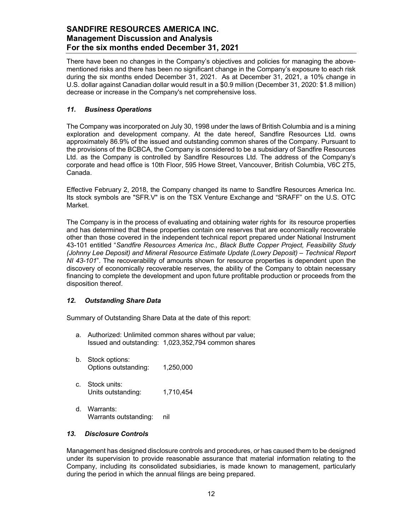There have been no changes in the Company's objectives and policies for managing the abovementioned risks and there has been no significant change in the Company's exposure to each risk during the six months ended December 31, 2021. As at December 31, 2021, a 10% change in U.S. dollar against Canadian dollar would result in a \$0.9 million (December 31, 2020: \$1.8 million) decrease or increase in the Company's net comprehensive loss.

# *11. Business Operations*

The Company was incorporated on July 30, 1998 under the laws of British Columbia and is a mining exploration and development company. At the date hereof, Sandfire Resources Ltd. owns approximately 86.9% of the issued and outstanding common shares of the Company. Pursuant to the provisions of the BCBCA, the Company is considered to be a subsidiary of Sandfire Resources Ltd. as the Company is controlled by Sandfire Resources Ltd. The address of the Company's corporate and head office is 10th Floor, 595 Howe Street, Vancouver, British Columbia, V6C 2T5, Canada.

Effective February 2, 2018, the Company changed its name to Sandfire Resources America Inc. Its stock symbols are "SFR.V" is on the TSX Venture Exchange and "SRAFF" on the U.S. OTC Market.

The Company is in the process of evaluating and obtaining water rights for its resource properties and has determined that these properties contain ore reserves that are economically recoverable other than those covered in the independent technical report prepared under National Instrument 43-101 entitled "*Sandfire Resources America Inc., Black Butte Copper Project, Feasibility Study (Johnny Lee Deposit) and Mineral Resource Estimate Update (Lowry Deposit) – Technical Report NI 43-101*". The recoverability of amounts shown for resource properties is dependent upon the discovery of economically recoverable reserves, the ability of the Company to obtain necessary financing to complete the development and upon future profitable production or proceeds from the disposition thereof.

# *12. Outstanding Share Data*

Summary of Outstanding Share Data at the date of this report:

- a. Authorized: Unlimited common shares without par value; Issued and outstanding: 1,023,352,794 common shares
- b. Stock options: Options outstanding: 1,250,000
- c. Stock units: Units outstanding: 1,710,454
- d. Warrants: Warrants outstanding: nil

# *13. Disclosure Controls*

Management has designed disclosure controls and procedures, or has caused them to be designed under its supervision to provide reasonable assurance that material information relating to the Company, including its consolidated subsidiaries, is made known to management, particularly during the period in which the annual filings are being prepared.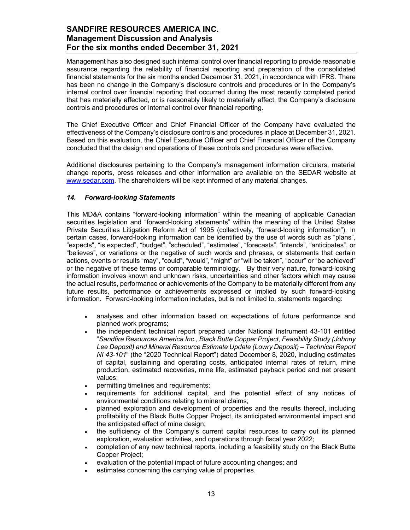Management has also designed such internal control over financial reporting to provide reasonable assurance regarding the reliability of financial reporting and preparation of the consolidated financial statements for the six months ended December 31, 2021, in accordance with IFRS. There has been no change in the Company's disclosure controls and procedures or in the Company's internal control over financial reporting that occurred during the most recently completed period that has materially affected, or is reasonably likely to materially affect, the Company's disclosure controls and procedures or internal control over financial reporting.

The Chief Executive Officer and Chief Financial Officer of the Company have evaluated the effectiveness of the Company's disclosure controls and procedures in place at December 31, 2021. Based on this evaluation, the Chief Executive Officer and Chief Financial Officer of the Company concluded that the design and operations of these controls and procedures were effective.

Additional disclosures pertaining to the Company's management information circulars, material change reports, press releases and other information are available on the SEDAR website at www.sedar.com. The shareholders will be kept informed of any material changes.

### *14. Forward-looking Statements*

This MD&A contains "forward-looking information" within the meaning of applicable Canadian securities legislation and "forward-looking statements" within the meaning of the United States Private Securities Litigation Reform Act of 1995 (collectively, "forward-looking information"). In certain cases, forward-looking information can be identified by the use of words such as "plans", "expects", "is expected", "budget", "scheduled", "estimates", "forecasts", "intends", "anticipates", or "believes", or variations or the negative of such words and phrases, or statements that certain actions, events or results "may", "could", "would", "might" or "will be taken", "occur" or "be achieved" or the negative of these terms or comparable terminology. By their very nature, forward-looking information involves known and unknown risks, uncertainties and other factors which may cause the actual results, performance or achievements of the Company to be materially different from any future results, performance or achievements expressed or implied by such forward-looking information. Forward-looking information includes, but is not limited to, statements regarding:

- analyses and other information based on expectations of future performance and planned work programs;
- the independent technical report prepared under National Instrument 43-101 entitled "*Sandfire Resources America Inc., Black Butte Copper Project, Feasibility Study (Johnny Lee Deposit) and Mineral Resource Estimate Update (Lowry Deposit) – Technical Report NI 43-101*" (the "2020 Technical Report") dated December 8, 2020, including estimates of capital, sustaining and operating costs, anticipated internal rates of return, mine production, estimated recoveries, mine life, estimated payback period and net present values;
- permitting timelines and requirements;
- requirements for additional capital, and the potential effect of any notices of environmental conditions relating to mineral claims;
- planned exploration and development of properties and the results thereof, including profitability of the Black Butte Copper Project, its anticipated environmental impact and the anticipated effect of mine design;
- the sufficiency of the Company's current capital resources to carry out its planned exploration, evaluation activities, and operations through fiscal year 2022;
- completion of any new technical reports, including a feasibility study on the Black Butte Copper Project;
- evaluation of the potential impact of future accounting changes; and
- estimates concerning the carrying value of properties.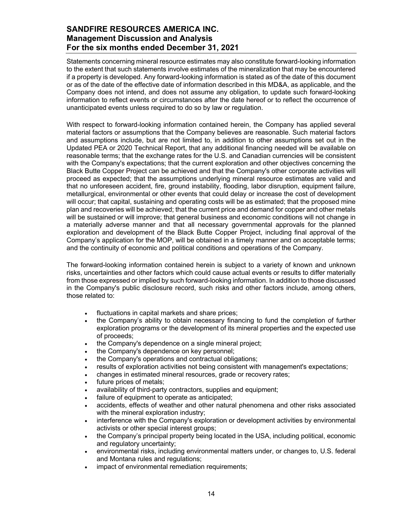Statements concerning mineral resource estimates may also constitute forward-looking information to the extent that such statements involve estimates of the mineralization that may be encountered if a property is developed. Any forward-looking information is stated as of the date of this document or as of the date of the effective date of information described in this MD&A, as applicable, and the Company does not intend, and does not assume any obligation, to update such forward-looking information to reflect events or circumstances after the date hereof or to reflect the occurrence of unanticipated events unless required to do so by law or regulation.

With respect to forward-looking information contained herein, the Company has applied several material factors or assumptions that the Company believes are reasonable. Such material factors and assumptions include, but are not limited to, in addition to other assumptions set out in the Updated PEA or 2020 Technical Report, that any additional financing needed will be available on reasonable terms; that the exchange rates for the U.S. and Canadian currencies will be consistent with the Company's expectations; that the current exploration and other objectives concerning the Black Butte Copper Project can be achieved and that the Company's other corporate activities will proceed as expected; that the assumptions underlying mineral resource estimates are valid and that no unforeseen accident, fire, ground instability, flooding, labor disruption, equipment failure, metallurgical, environmental or other events that could delay or increase the cost of development will occur; that capital, sustaining and operating costs will be as estimated; that the proposed mine plan and recoveries will be achieved; that the current price and demand for copper and other metals will be sustained or will improve; that general business and economic conditions will not change in a materially adverse manner and that all necessary governmental approvals for the planned exploration and development of the Black Butte Copper Project, including final approval of the Company's application for the MOP, will be obtained in a timely manner and on acceptable terms; and the continuity of economic and political conditions and operations of the Company.

The forward-looking information contained herein is subject to a variety of known and unknown risks, uncertainties and other factors which could cause actual events or results to differ materially from those expressed or implied by such forward-looking information. In addition to those discussed in the Company's public disclosure record, such risks and other factors include, among others, those related to:

- fluctuations in capital markets and share prices;
- the Company's ability to obtain necessary financing to fund the completion of further exploration programs or the development of its mineral properties and the expected use of proceeds;
- the Company's dependence on a single mineral project;
- the Company's dependence on key personnel;
- the Company's operations and contractual obligations;
- results of exploration activities not being consistent with management's expectations;
- changes in estimated mineral resources, grade or recovery rates;
- future prices of metals;
- availability of third-party contractors, supplies and equipment;
- failure of equipment to operate as anticipated;
- accidents, effects of weather and other natural phenomena and other risks associated with the mineral exploration industry;
- interference with the Company's exploration or development activities by environmental activists or other special interest groups;
- the Company's principal property being located in the USA, including political, economic and regulatory uncertainty;
- environmental risks, including environmental matters under, or changes to, U.S. federal and Montana rules and regulations;
- impact of environmental remediation requirements;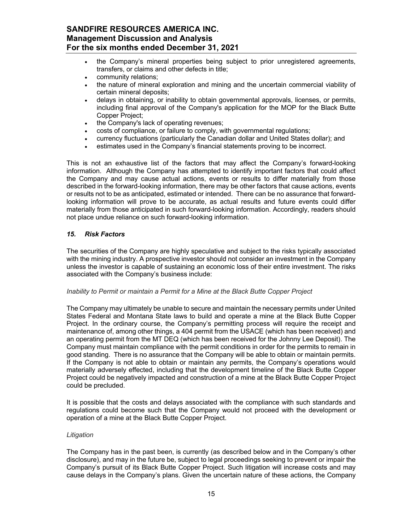- the Company's mineral properties being subject to prior unregistered agreements, transfers, or claims and other defects in title;
- community relations;
- the nature of mineral exploration and mining and the uncertain commercial viability of certain mineral deposits;
- delays in obtaining, or inability to obtain governmental approvals, licenses, or permits, including final approval of the Company's application for the MOP for the Black Butte Copper Project;
- the Company's lack of operating revenues;
- costs of compliance, or failure to comply, with governmental regulations;
- currency fluctuations (particularly the Canadian dollar and United States dollar); and
- estimates used in the Company's financial statements proving to be incorrect.

This is not an exhaustive list of the factors that may affect the Company's forward-looking information. Although the Company has attempted to identify important factors that could affect the Company and may cause actual actions, events or results to differ materially from those described in the forward-looking information, there may be other factors that cause actions, events or results not to be as anticipated, estimated or intended. There can be no assurance that forwardlooking information will prove to be accurate, as actual results and future events could differ materially from those anticipated in such forward-looking information. Accordingly, readers should not place undue reliance on such forward-looking information.

### *15. Risk Factors*

The securities of the Company are highly speculative and subject to the risks typically associated with the mining industry. A prospective investor should not consider an investment in the Company unless the investor is capable of sustaining an economic loss of their entire investment. The risks associated with the Company's business include:

#### *Inability to Permit or maintain a Permit for a Mine at the Black Butte Copper Project*

The Company may ultimately be unable to secure and maintain the necessary permits under United States Federal and Montana State laws to build and operate a mine at the Black Butte Copper Project. In the ordinary course, the Company's permitting process will require the receipt and maintenance of, among other things, a 404 permit from the USACE (which has been received) and an operating permit from the MT DEQ (which has been received for the Johnny Lee Deposit). The Company must maintain compliance with the permit conditions in order for the permits to remain in good standing. There is no assurance that the Company will be able to obtain or maintain permits. If the Company is not able to obtain or maintain any permits, the Company's operations would materially adversely effected, including that the development timeline of the Black Butte Copper Project could be negatively impacted and construction of a mine at the Black Butte Copper Project could be precluded.

It is possible that the costs and delays associated with the compliance with such standards and regulations could become such that the Company would not proceed with the development or operation of a mine at the Black Butte Copper Project.

### *Litigation*

The Company has in the past been, is currently (as described below and in the Company's other disclosure), and may in the future be, subject to legal proceedings seeking to prevent or impair the Company's pursuit of its Black Butte Copper Project. Such litigation will increase costs and may cause delays in the Company's plans. Given the uncertain nature of these actions, the Company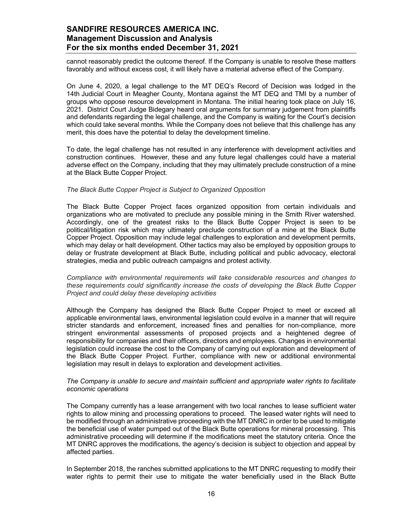cannot reasonably predict the outcome thereof. If the Company is unable to resolve these matters favorably and without excess cost, it will likely have a material adverse effect of the Company.

On June 4, 2020, a legal challenge to the MT DEQ's Record of Decision was lodged in the 14th Judicial Court in Meagher County, Montana against the MT DEQ and TMI by a number of groups who oppose resource development in Montana. The initial hearing took place on July 16, 2021. District Court Judge Bidegary heard oral arguments for summary judgement from plaintiffs and defendants regarding the legal challenge, and the Company is waiting for the Court's decision which could take several months. While the Company does not believe that this challenge has any merit, this does have the potential to delay the development timeline.

To date, the legal challenge has not resulted in any interference with development activities and construction continues. However, these and any future legal challenges could have a material adverse effect on the Company, including that they may ultimately preclude construction of a mine at the Black Butte Copper Project.

#### *The Black Butte Copper Project is Subject to Organized Opposition*

The Black Butte Copper Project faces organized opposition from certain individuals and organizations who are motivated to preclude any possible mining in the Smith River watershed. Accordingly, one of the greatest risks to the Black Butte Copper Project is seen to be political/litigation risk which may ultimately preclude construction of a mine at the Black Butte Copper Project. Opposition may include legal challenges to exploration and development permits, which may delay or halt development. Other tactics may also be employed by opposition groups to delay or frustrate development at Black Butte, including political and public advocacy, electoral strategies, media and public outreach campaigns and protest activity.

*Compliance with environmental requirements will take considerable resources and changes to these requirements could significantly increase the costs of developing the Black Butte Copper Project and could delay these developing activities* 

Although the Company has designed the Black Butte Copper Project to meet or exceed all applicable environmental laws, environmental legislation could evolve in a manner that will require stricter standards and enforcement, increased fines and penalties for non-compliance, more stringent environmental assessments of proposed projects and a heightened degree of responsibility for companies and their officers, directors and employees. Changes in environmental legislation could increase the cost to the Company of carrying out exploration and development of the Black Butte Copper Project. Further, compliance with new or additional environmental legislation may result in delays to exploration and development activities.

#### *The Company is unable to secure and maintain sufficient and appropriate water rights to facilitate economic operations*

The Company currently has a lease arrangement with two local ranches to lease sufficient water rights to allow mining and processing operations to proceed. The leased water rights will need to be modified through an administrative proceeding with the MT DNRC in order to be used to mitigate the beneficial use of water pumped out of the Black Butte operations for mineral processing. This administrative proceeding will determine if the modifications meet the statutory criteria. Once the MT DNRC approves the modifications, the agency's decision is subject to objection and appeal by affected parties.

In September 2018, the ranches submitted applications to the MT DNRC requesting to modify their water rights to permit their use to mitigate the water beneficially used in the Black Butte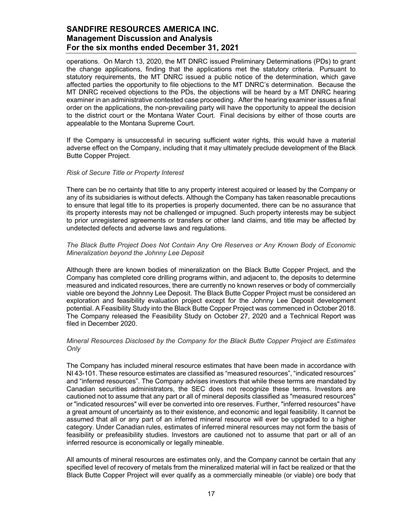operations. On March 13, 2020, the MT DNRC issued Preliminary Determinations (PDs) to grant the change applications, finding that the applications met the statutory criteria. Pursuant to statutory requirements, the MT DNRC issued a public notice of the determination, which gave affected parties the opportunity to file objections to the MT DNRC's determination. Because the MT DNRC received objections to the PDs, the objections will be heard by a MT DNRC hearing examiner in an administrative contested case proceeding. After the hearing examiner issues a final order on the applications, the non-prevailing party will have the opportunity to appeal the decision to the district court or the Montana Water Court. Final decisions by either of those courts are appealable to the Montana Supreme Court.

If the Company is unsuccessful in securing sufficient water rights, this would have a material adverse effect on the Company, including that it may ultimately preclude development of the Black Butte Copper Project.

#### *Risk of Secure Title or Property Interest*

There can be no certainty that title to any property interest acquired or leased by the Company or any of its subsidiaries is without defects. Although the Company has taken reasonable precautions to ensure that legal title to its properties is properly documented, there can be no assurance that its property interests may not be challenged or impugned. Such property interests may be subject to prior unregistered agreements or transfers or other land claims, and title may be affected by undetected defects and adverse laws and regulations.

### *The Black Butte Project Does Not Contain Any Ore Reserves or Any Known Body of Economic Mineralization beyond the Johnny Lee Deposit*

Although there are known bodies of mineralization on the Black Butte Copper Project, and the Company has completed core drilling programs within, and adjacent to, the deposits to determine measured and indicated resources, there are currently no known reserves or body of commercially viable ore beyond the Johnny Lee Deposit. The Black Butte Copper Project must be considered an exploration and feasibility evaluation project except for the Johnny Lee Deposit development potential. A Feasibility Study into the Black Butte Copper Project was commenced in October 2018. The Company released the Feasibility Study on October 27, 2020 and a Technical Report was filed in December 2020.

#### *Mineral Resources Disclosed by the Company for the Black Butte Copper Project are Estimates Only*

The Company has included mineral resource estimates that have been made in accordance with NI 43-101. These resource estimates are classified as "measured resources", "indicated resources" and "inferred resources". The Company advises investors that while these terms are mandated by Canadian securities administrators, the SEC does not recognize these terms. Investors are cautioned not to assume that any part or all of mineral deposits classified as "measured resources" or "indicated resources" will ever be converted into ore reserves. Further, "inferred resources" have a great amount of uncertainty as to their existence, and economic and legal feasibility. It cannot be assumed that all or any part of an inferred mineral resource will ever be upgraded to a higher category. Under Canadian rules, estimates of inferred mineral resources may not form the basis of feasibility or prefeasibility studies. Investors are cautioned not to assume that part or all of an inferred resource is economically or legally mineable.

All amounts of mineral resources are estimates only, and the Company cannot be certain that any specified level of recovery of metals from the mineralized material will in fact be realized or that the Black Butte Copper Project will ever qualify as a commercially mineable (or viable) ore body that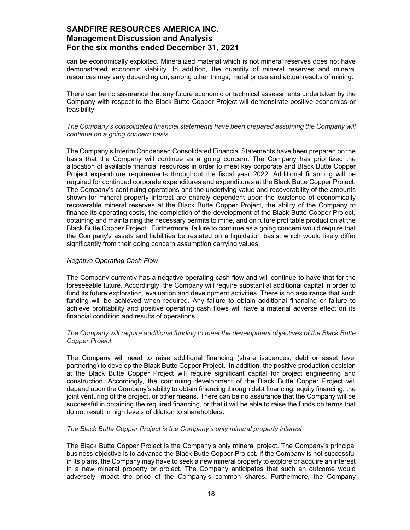can be economically exploited. Mineralized material which is not mineral reserves does not have demonstrated economic viability. In addition, the quantity of mineral reserves and mineral resources may vary depending on, among other things, metal prices and actual results of mining.

There can be no assurance that any future economic or technical assessments undertaken by the Company with respect to the Black Butte Copper Project will demonstrate positive economics or feasibility.

### *The Company's consolidated financial statements have been prepared assuming the Company will continue on a going concern basis*

The Company's Interim Condensed Consolidated Financial Statements have been prepared on the basis that the Company will continue as a going concern. The Company has prioritized the allocation of available financial resources in order to meet key corporate and Black Butte Copper Project expenditure requirements throughout the fiscal year 2022. Additional financing will be required for continued corporate expenditures and expenditures at the Black Butte Copper Project. The Company's continuing operations and the underlying value and recoverability of the amounts shown for mineral property interest are entirely dependent upon the existence of economically recoverable mineral reserves at the Black Butte Copper Project, the ability of the Company to finance its operating costs, the completion of the development of the Black Butte Copper Project, obtaining and maintaining the necessary permits to mine, and on future profitable production at the Black Butte Copper Project. Furthermore, failure to continue as a going concern would require that the Company's assets and liabilities be restated on a liquidation basis, which would likely differ significantly from their going concern assumption carrying values.

### *Negative Operating Cash Flow*

The Company currently has a negative operating cash flow and will continue to have that for the foreseeable future. Accordingly, the Company will require substantial additional capital in order to fund its future exploration, evaluation and development activities. There is no assurance that such funding will be achieved when required. Any failure to obtain additional financing or failure to achieve profitability and positive operating cash flows will have a material adverse effect on its financial condition and results of operations.

### *The Company will require additional funding to meet the development objectives of the Black Butte Copper Project*

The Company will need to raise additional financing (share issuances, debt or asset level partnering) to develop the Black Butte Copper Project. In addition, the positive production decision at the Black Butte Copper Project will require significant capital for project engineering and construction. Accordingly, the continuing development of the Black Butte Copper Project will depend upon the Company's ability to obtain financing through debt financing, equity financing, the joint venturing of the project, or other means. There can be no assurance that the Company will be successful in obtaining the required financing, or that it will be able to raise the funds on terms that do not result in high levels of dilution to shareholders.

#### *The Black Butte Copper Project is the Company's only mineral property interest*

The Black Butte Copper Project is the Company's only mineral project. The Company's principal business objective is to advance the Black Butte Copper Project. If the Company is not successful in its plans, the Company may have to seek a new mineral property to explore or acquire an interest in a new mineral property or project. The Company anticipates that such an outcome would adversely impact the price of the Company's common shares. Furthermore, the Company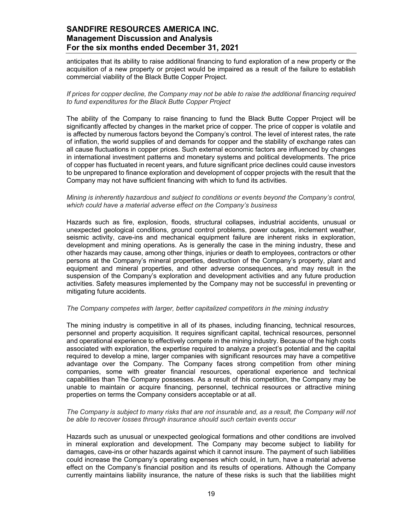anticipates that its ability to raise additional financing to fund exploration of a new property or the acquisition of a new property or project would be impaired as a result of the failure to establish commercial viability of the Black Butte Copper Project.

*If prices for copper decline, the Company may not be able to raise the additional financing required to fund expenditures for the Black Butte Copper Project* 

The ability of the Company to raise financing to fund the Black Butte Copper Project will be significantly affected by changes in the market price of copper. The price of copper is volatile and is affected by numerous factors beyond the Company's control. The level of interest rates, the rate of inflation, the world supplies of and demands for copper and the stability of exchange rates can all cause fluctuations in copper prices. Such external economic factors are influenced by changes in international investment patterns and monetary systems and political developments. The price of copper has fluctuated in recent years, and future significant price declines could cause investors to be unprepared to finance exploration and development of copper projects with the result that the Company may not have sufficient financing with which to fund its activities.

#### *Mining is inherently hazardous and subject to conditions or events beyond the Company's control, which could have a material adverse effect on the Company's business*

Hazards such as fire, explosion, floods, structural collapses, industrial accidents, unusual or unexpected geological conditions, ground control problems, power outages, inclement weather, seismic activity, cave-ins and mechanical equipment failure are inherent risks in exploration, development and mining operations. As is generally the case in the mining industry, these and other hazards may cause, among other things, injuries or death to employees, contractors or other persons at the Company's mineral properties, destruction of the Company's property, plant and equipment and mineral properties, and other adverse consequences, and may result in the suspension of the Company's exploration and development activities and any future production activities. Safety measures implemented by the Company may not be successful in preventing or mitigating future accidents.

#### *The Company competes with larger, better capitalized competitors in the mining industry*

The mining industry is competitive in all of its phases, including financing, technical resources, personnel and property acquisition. It requires significant capital, technical resources, personnel and operational experience to effectively compete in the mining industry. Because of the high costs associated with exploration, the expertise required to analyze a project's potential and the capital required to develop a mine, larger companies with significant resources may have a competitive advantage over the Company. The Company faces strong competition from other mining companies, some with greater financial resources, operational experience and technical capabilities than The Company possesses. As a result of this competition, the Company may be unable to maintain or acquire financing, personnel, technical resources or attractive mining properties on terms the Company considers acceptable or at all.

#### *The Company is subject to many risks that are not insurable and, as a result, the Company will not be able to recover losses through insurance should such certain events occur*

Hazards such as unusual or unexpected geological formations and other conditions are involved in mineral exploration and development. The Company may become subject to liability for damages, cave-ins or other hazards against which it cannot insure. The payment of such liabilities could increase the Company's operating expenses which could, in turn, have a material adverse effect on the Company's financial position and its results of operations. Although the Company currently maintains liability insurance, the nature of these risks is such that the liabilities might